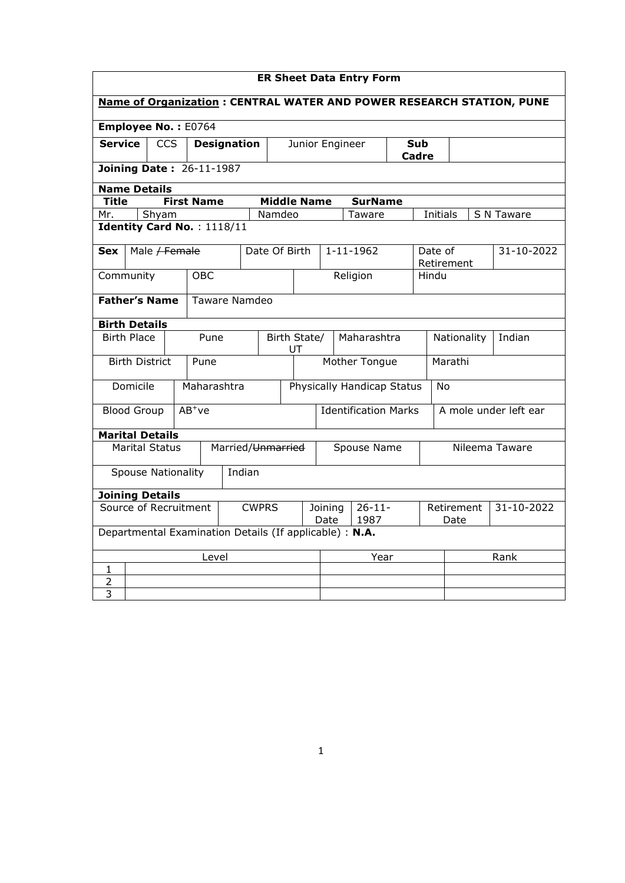| <b>ER Sheet Data Entry Form</b>                                       |                                                         |                       |                   |                                        |                               |                    |                                   |                                         |                     |                 |             |                       |                       |  |            |
|-----------------------------------------------------------------------|---------------------------------------------------------|-----------------------|-------------------|----------------------------------------|-------------------------------|--------------------|-----------------------------------|-----------------------------------------|---------------------|-----------------|-------------|-----------------------|-----------------------|--|------------|
| Name of Organization: CENTRAL WATER AND POWER RESEARCH STATION, PUNE  |                                                         |                       |                   |                                        |                               |                    |                                   |                                         |                     |                 |             |                       |                       |  |            |
| Employee No.: E0764                                                   |                                                         |                       |                   |                                        |                               |                    |                                   |                                         |                     |                 |             |                       |                       |  |            |
| <b>Service</b><br><b>CCS</b><br><b>Designation</b><br>Junior Engineer |                                                         |                       |                   |                                        |                               |                    |                                   |                                         | <b>Sub</b><br>Cadre |                 |             |                       |                       |  |            |
|                                                                       | <b>Joining Date: 26-11-1987</b>                         |                       |                   |                                        |                               |                    |                                   |                                         |                     |                 |             |                       |                       |  |            |
| <b>Name Details</b>                                                   |                                                         |                       |                   |                                        |                               |                    |                                   |                                         |                     |                 |             |                       |                       |  |            |
| Title                                                                 |                                                         |                       | <b>First Name</b> |                                        |                               | <b>Middle Name</b> |                                   |                                         |                     | <b>SurName</b>  |             |                       |                       |  |            |
| Mr.                                                                   |                                                         | Shyam                 |                   |                                        |                               | Namdeo             |                                   |                                         |                     | Taware          |             |                       | Initials              |  | S N Taware |
| Identity Card No.: 1118/11                                            |                                                         |                       |                   |                                        |                               |                    |                                   |                                         |                     |                 |             |                       |                       |  |            |
| <b>Sex</b>                                                            |                                                         |                       | Male / Female     |                                        |                               | Date Of Birth      |                                   |                                         |                     | $1 - 11 - 1962$ |             |                       | Date of<br>Retirement |  | 31-10-2022 |
| Community                                                             |                                                         |                       |                   | <b>OBC</b>                             |                               |                    |                                   |                                         |                     | Religion        |             | Hindu                 |                       |  |            |
| <b>Father's Name</b>                                                  |                                                         |                       |                   |                                        | Taware Namdeo                 |                    |                                   |                                         |                     |                 |             |                       |                       |  |            |
| <b>Birth Details</b>                                                  |                                                         |                       |                   |                                        |                               |                    |                                   |                                         |                     |                 |             |                       |                       |  |            |
|                                                                       | <b>Birth Place</b>                                      |                       |                   | Pune                                   |                               |                    | Maharashtra<br>Birth State/<br>UT |                                         |                     |                 | Nationality |                       | Indian                |  |            |
|                                                                       |                                                         | <b>Birth District</b> |                   | Pune                                   |                               |                    |                                   | Mother Tongue<br>Marathi                |                     |                 |             |                       |                       |  |            |
|                                                                       | Domicile                                                |                       |                   |                                        | Maharashtra                   |                    |                                   | Physically Handicap Status<br><b>No</b> |                     |                 |             |                       |                       |  |            |
|                                                                       | <b>Blood Group</b>                                      |                       | $AB^+ve$          |                                        |                               |                    |                                   | <b>Identification Marks</b>             |                     |                 |             | A mole under left ear |                       |  |            |
| <b>Marital Details</b>                                                |                                                         |                       |                   |                                        |                               |                    |                                   |                                         |                     |                 |             |                       |                       |  |            |
|                                                                       |                                                         | <b>Marital Status</b> |                   |                                        | Married/ <del>Unmarried</del> |                    |                                   |                                         | Spouse Name         |                 |             | Nileema Taware        |                       |  |            |
| Indian<br><b>Spouse Nationality</b>                                   |                                                         |                       |                   |                                        |                               |                    |                                   |                                         |                     |                 |             |                       |                       |  |            |
| <b>Joining Details</b>                                                |                                                         |                       |                   |                                        |                               |                    |                                   |                                         |                     |                 |             |                       |                       |  |            |
| Source of Recruitment<br><b>CWPRS</b>                                 |                                                         |                       |                   | $26 - 11 -$<br>Joining<br>1987<br>Date |                               |                    | Retirement<br>Date                |                                         | 31-10-2022          |                 |             |                       |                       |  |            |
|                                                                       | Departmental Examination Details (If applicable) : N.A. |                       |                   |                                        |                               |                    |                                   |                                         |                     |                 |             |                       |                       |  |            |
| Level                                                                 |                                                         |                       |                   |                                        |                               | Year               |                                   |                                         |                     |                 | Rank        |                       |                       |  |            |
| 1                                                                     |                                                         |                       |                   |                                        |                               |                    |                                   |                                         |                     |                 |             |                       |                       |  |            |
| $\overline{2}$                                                        |                                                         |                       |                   |                                        |                               |                    |                                   |                                         |                     |                 |             |                       |                       |  |            |
| 3                                                                     |                                                         |                       |                   |                                        |                               |                    |                                   |                                         |                     |                 |             |                       |                       |  |            |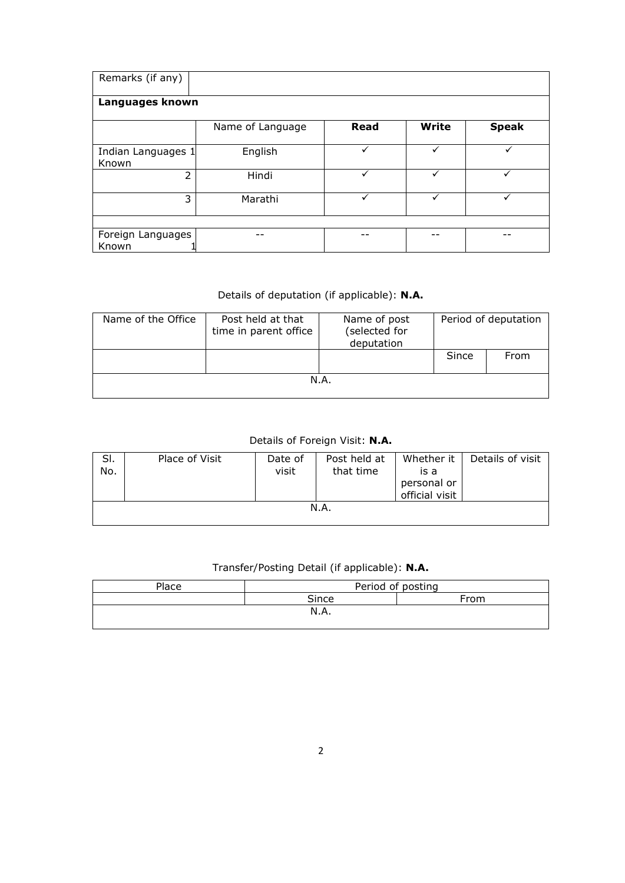| Remarks (if any)            |                  |              |       |              |  |  |  |  |  |  |
|-----------------------------|------------------|--------------|-------|--------------|--|--|--|--|--|--|
| Languages known             |                  |              |       |              |  |  |  |  |  |  |
|                             | Name of Language | <b>Read</b>  | Write | <b>Speak</b> |  |  |  |  |  |  |
| Indian Languages 1<br>Known | English          |              |       |              |  |  |  |  |  |  |
| $\mathcal{P}$               | Hindi            |              |       |              |  |  |  |  |  |  |
| 3                           | Marathi          | $\checkmark$ | ✓     | ✓            |  |  |  |  |  |  |
|                             |                  |              |       |              |  |  |  |  |  |  |
| Foreign Languages<br>Known  |                  |              |       |              |  |  |  |  |  |  |

## Details of deputation (if applicable): N.A.

| Name of the Office | Post held at that<br>time in parent office | Name of post<br>(selected for<br>deputation | Period of deputation |      |  |  |  |
|--------------------|--------------------------------------------|---------------------------------------------|----------------------|------|--|--|--|
|                    |                                            |                                             | Since                | From |  |  |  |
| N.A.               |                                            |                                             |                      |      |  |  |  |

## Details of Foreign Visit: N.A.

| SI.<br>No. | Place of Visit | Date of<br>visit | Post held at<br>that time | Whether it<br>is a<br>personal or<br>official visit | Details of visit |
|------------|----------------|------------------|---------------------------|-----------------------------------------------------|------------------|
|            |                |                  | N.A.                      |                                                     |                  |

## Transfer/Posting Detail (if applicable): N.A.

| Place | Period of posting |      |  |  |  |  |
|-------|-------------------|------|--|--|--|--|
|       | Since             | From |  |  |  |  |
|       | N.A.              |      |  |  |  |  |
|       |                   |      |  |  |  |  |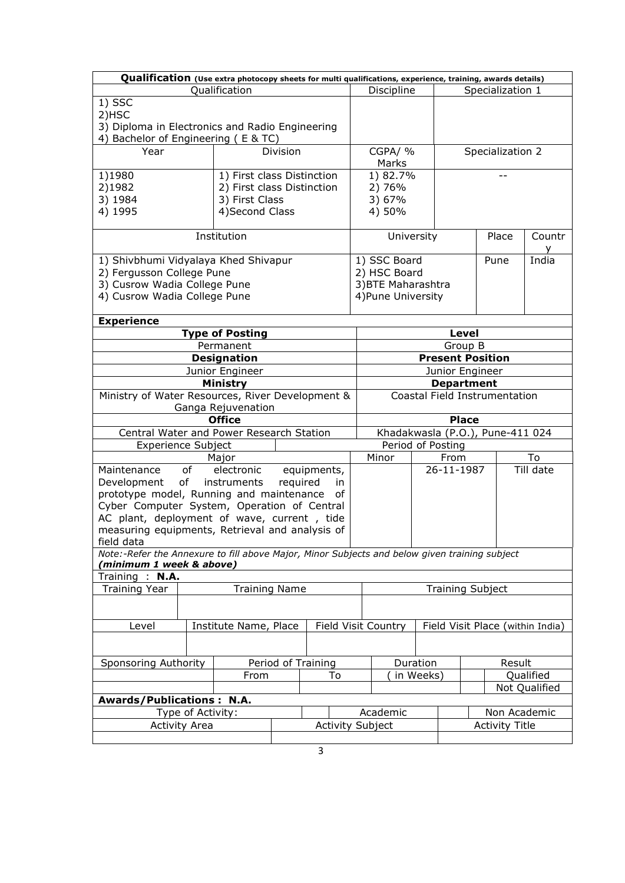|                                                                                                | Qualification (Use extra photocopy sheets for multi qualifications, experience, training, awards details) |                    |                         |          |                                  |                               |                   |                                       |                                  |  |
|------------------------------------------------------------------------------------------------|-----------------------------------------------------------------------------------------------------------|--------------------|-------------------------|----------|----------------------------------|-------------------------------|-------------------|---------------------------------------|----------------------------------|--|
|                                                                                                | Qualification                                                                                             |                    |                         |          | Discipline                       |                               |                   | Specialization 1                      |                                  |  |
| 1) SSC<br>2)HSC<br>3) Diploma in Electronics and Radio Engineering                             |                                                                                                           |                    |                         |          |                                  |                               |                   |                                       |                                  |  |
| 4) Bachelor of Engineering (E & TC)                                                            |                                                                                                           |                    |                         |          |                                  |                               |                   |                                       |                                  |  |
| Year                                                                                           |                                                                                                           | Division           |                         |          | CGPA/%<br>Marks                  |                               | Specialization 2  |                                       |                                  |  |
| 1)1980                                                                                         | 1) First class Distinction                                                                                |                    |                         |          | 1) 82.7%                         |                               |                   |                                       |                                  |  |
| 2)1982                                                                                         | 2) First class Distinction                                                                                |                    |                         |          | 2) 76%                           |                               |                   |                                       |                                  |  |
| 3) 1984                                                                                        | 3) First Class                                                                                            |                    |                         |          | 3) 67%                           |                               |                   |                                       |                                  |  |
| 4) 1995                                                                                        | 4) Second Class                                                                                           |                    |                         |          | 4) 50%                           |                               |                   |                                       |                                  |  |
|                                                                                                |                                                                                                           |                    |                         |          |                                  |                               |                   |                                       |                                  |  |
|                                                                                                | Institution                                                                                               |                    |                         |          | University                       |                               |                   | Place                                 | Countr                           |  |
| 1) Shivbhumi Vidyalaya Khed Shivapur                                                           |                                                                                                           |                    |                         |          | 1) SSC Board                     |                               |                   | Pune                                  | India                            |  |
| 2) Fergusson College Pune                                                                      |                                                                                                           |                    |                         |          | 2) HSC Board                     |                               |                   |                                       |                                  |  |
| 3) Cusrow Wadia College Pune                                                                   |                                                                                                           |                    |                         |          | 3) BTE Maharashtra               |                               |                   |                                       |                                  |  |
| 4) Cusrow Wadia College Pune                                                                   |                                                                                                           |                    |                         |          | 4) Pune University               |                               |                   |                                       |                                  |  |
| <b>Experience</b>                                                                              |                                                                                                           |                    |                         |          |                                  |                               |                   |                                       |                                  |  |
|                                                                                                | <b>Type of Posting</b>                                                                                    |                    |                         |          |                                  |                               | <b>Level</b>      |                                       |                                  |  |
|                                                                                                | Permanent                                                                                                 |                    |                         |          |                                  |                               | Group B           |                                       |                                  |  |
|                                                                                                | <b>Designation</b>                                                                                        |                    |                         |          |                                  | <b>Present Position</b>       |                   |                                       |                                  |  |
|                                                                                                | Junior Engineer                                                                                           |                    |                         |          | Junior Engineer                  |                               |                   |                                       |                                  |  |
|                                                                                                | Ministry                                                                                                  |                    |                         |          |                                  |                               | <b>Department</b> |                                       |                                  |  |
| Ministry of Water Resources, River Development &                                               |                                                                                                           |                    |                         |          |                                  | Coastal Field Instrumentation |                   |                                       |                                  |  |
|                                                                                                | Ganga Rejuvenation                                                                                        |                    |                         |          |                                  |                               |                   |                                       |                                  |  |
|                                                                                                | <b>Office</b>                                                                                             |                    |                         |          | <b>Place</b>                     |                               |                   |                                       |                                  |  |
| Central Water and Power Research Station                                                       |                                                                                                           |                    |                         |          | Khadakwasla (P.O.), Pune-411 024 |                               |                   |                                       |                                  |  |
| <b>Experience Subject</b>                                                                      |                                                                                                           |                    |                         |          |                                  | Period of Posting             |                   |                                       |                                  |  |
|                                                                                                | Major                                                                                                     |                    |                         |          | Minor                            | From                          |                   |                                       | To                               |  |
| of<br>Maintenance                                                                              | electronic                                                                                                |                    | equipments,             |          |                                  | 26-11-1987                    |                   |                                       | Till date                        |  |
| of<br>Development                                                                              | instruments                                                                                               | required           | in.                     |          |                                  |                               |                   |                                       |                                  |  |
| prototype model, Running and maintenance                                                       |                                                                                                           |                    | of                      |          |                                  |                               |                   |                                       |                                  |  |
| Cyber Computer System, Operation of Central                                                    |                                                                                                           |                    |                         |          |                                  |                               |                   |                                       |                                  |  |
| AC plant, deployment of wave, current, tide<br>measuring equipments, Retrieval and analysis of |                                                                                                           |                    |                         |          |                                  |                               |                   |                                       |                                  |  |
| field data                                                                                     |                                                                                                           |                    |                         |          |                                  |                               |                   |                                       |                                  |  |
| Note:-Refer the Annexure to fill above Major, Minor Subjects and below given training subject  |                                                                                                           |                    |                         |          |                                  |                               |                   |                                       |                                  |  |
| (minimum 1 week & above)                                                                       |                                                                                                           |                    |                         |          |                                  |                               |                   |                                       |                                  |  |
| Training: N.A.                                                                                 |                                                                                                           |                    |                         |          |                                  |                               |                   |                                       |                                  |  |
| <b>Training Year</b>                                                                           | <b>Training Name</b>                                                                                      |                    |                         |          |                                  | <b>Training Subject</b>       |                   |                                       |                                  |  |
|                                                                                                |                                                                                                           |                    |                         |          |                                  |                               |                   |                                       |                                  |  |
| Level<br>Institute Name, Place                                                                 |                                                                                                           |                    |                         |          | Field Visit Country              |                               |                   |                                       | Field Visit Place (within India) |  |
|                                                                                                |                                                                                                           |                    |                         |          |                                  |                               |                   |                                       |                                  |  |
| Sponsoring Authority                                                                           |                                                                                                           | Period of Training |                         | Duration |                                  |                               | Result            |                                       |                                  |  |
|                                                                                                |                                                                                                           | To                 |                         |          | in Weeks)                        |                               | Qualified         |                                       |                                  |  |
|                                                                                                | From                                                                                                      |                    |                         |          |                                  |                               |                   |                                       | Not Qualified                    |  |
| <b>Awards/Publications: N.A.</b>                                                               |                                                                                                           |                    |                         |          |                                  |                               |                   |                                       |                                  |  |
| Type of Activity:                                                                              |                                                                                                           |                    |                         |          | Academic                         |                               |                   |                                       |                                  |  |
| <b>Activity Area</b>                                                                           |                                                                                                           |                    | <b>Activity Subject</b> |          |                                  |                               |                   | Non Academic<br><b>Activity Title</b> |                                  |  |
|                                                                                                |                                                                                                           |                    |                         |          |                                  |                               |                   |                                       |                                  |  |